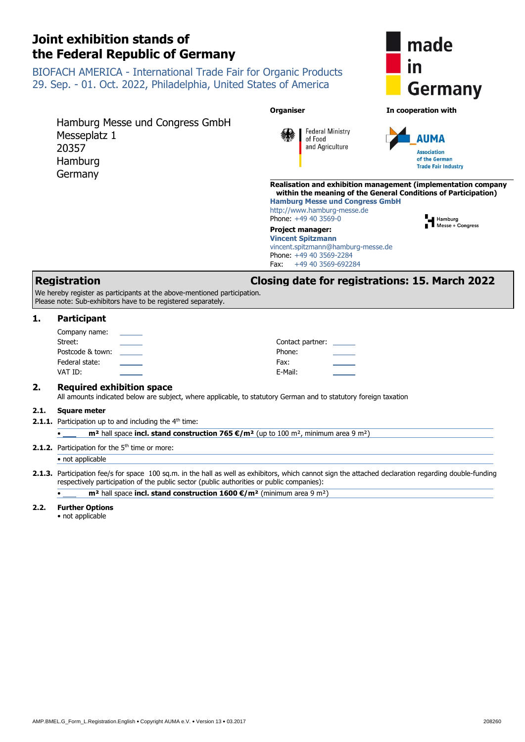Hamburg Messe und Congress GmbH

BIOFACH AMERICA - International Trade Fair for Organic Products 29. Sep. - 01. Oct. 2022, Philadelphia, United States of America



We hereby register as participants at the above-mentioned participation. Please note: Sub-exhibitors have to be registered separately.

# **1. Participant**

Messeplatz 1

20357 Hamburg Germany

<span id="page-0-3"></span><span id="page-0-2"></span><span id="page-0-1"></span><span id="page-0-0"></span>

| Company name:    | $\overline{\phantom{a}}$ |                         |
|------------------|--------------------------|-------------------------|
| Street:          |                          | Contact partner: ______ |
| Postcode & town: | <b>Contract Contract</b> | Phone:                  |
| Federal state:   |                          | Fax:                    |
| VAT ID:          |                          | E-Mail:                 |
|                  |                          |                         |

## **2. Required exhibition space**

All amounts indicated below are subject, where applicable, to statutory German and to statutory foreign taxation

#### **2.1. Square meter**

**2.1.1.** Participation up to and including the 4<sup>th</sup> time:

<span id="page-0-7"></span><span id="page-0-6"></span><span id="page-0-5"></span><span id="page-0-4"></span>• **m²** hall space **incl. stand construction 765 €/m²** (up to 100 m², minimum area 9 m²)

#### **2.1.2.** Participation for the 5<sup>th</sup> time or more:

#### • not applicable

**2.1.3.** Participation fee/s for space 100 sq.m. in the hall as well as exhibitors, which cannot sign the attached declaration regarding double-funding respectively participation of the public sector (public authorities or public companies):

• **m²** hall space **incl. stand construction 1600 €/m²** (minimum area 9 m²)

#### **2.2. Further Options**

• not applicable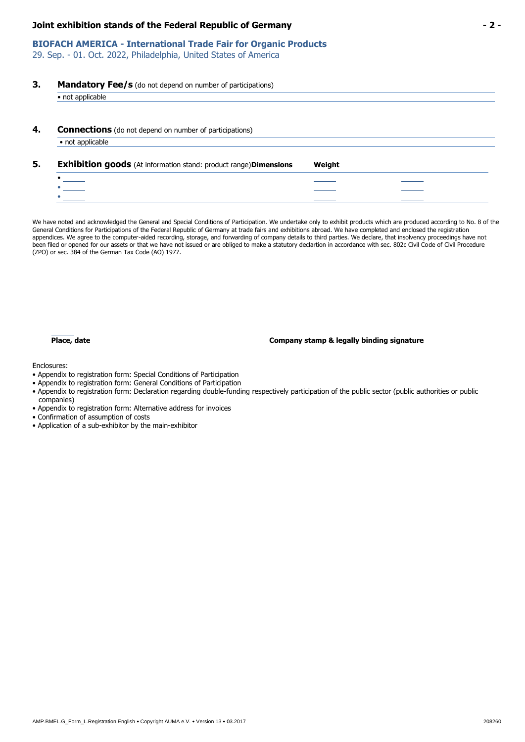# **BIOFACH AMERICA - International Trade Fair for Organic Products**

29. Sep. - 01. Oct. 2022, Philadelphia, United States of America

# **3. Mandatory Fee/s** (do not depend on number of participations)

| <b>Connections</b> (do not depend on number of participations)                                               |        |  |
|--------------------------------------------------------------------------------------------------------------|--------|--|
| • not applicable                                                                                             |        |  |
|                                                                                                              |        |  |
|                                                                                                              |        |  |
| <b>Exhibition goods</b> (At information stand: product range) Dimensions<br>$\bullet$ . The set of $\bullet$ | Weight |  |

We have noted and acknowledged the General and Special Conditions of Participation. We undertake only to exhibit products which are produced according to No. 8 of the General Conditions for Participations of the Federal Republic of Germany at trade fairs and exhibitions abroad. We have completed and enclosed the registration appendices. We agree to the computer-aided recording, storage, and forwarding of company details to third parties. We declare, that insolvency proceedings have not been filed or opened for our assets or that we have not issued or are obliged to make a statutory declartion in accordance with sec. 802c Civil Code of Civil Procedure (ZPO) or sec. 384 of the German Tax Code (AO) 1977.

#### **Place, date Company stamp & legally binding signature**

Enclosures:

- Appendix to registration form: Special Conditions of Participation
- Appendix to registration form: General Conditions of Participation
- Appendix to registration form: Declaration regarding double-funding respectively participation of the public sector (public authorities or public companies)
- Appendix to registration form: Alternative address for invoices
- Confirmation of assumption of costs
- Application of a sub-exhibitor by the main-exhibitor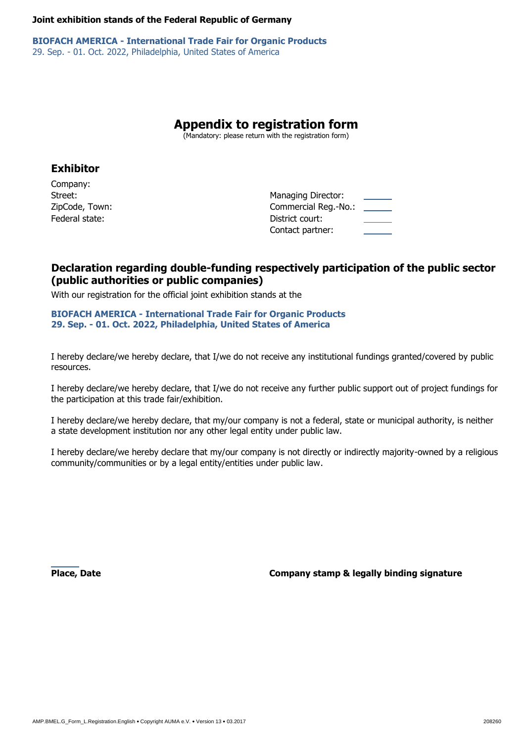**BIOFACH AMERICA - International Trade Fair for Organic Products** 29. Sep. - 01. Oct. 2022, Philadelphia, United States of America

# **Appendix to registration form**

(Mandatory: please return with the registration form)

# **Exhibitor**

Company: Federal state:District court:

Street:*Managing Director: Managing Director:* ZipCode, Town:Commercial Reg.-No.: Contact partner:

# **Declaration regarding double-funding respectively participation of the public sector (public authorities or public companies)**

With our registration for the official joint exhibition stands at the

# **BIOFACH AMERICA - International Trade Fair for Organic Products 29. Sep. - 01. Oct. 2022, Philadelphia, United States of America**

I hereby declare/we hereby declare, that I/we do not receive any institutional fundings granted/covered by public resources.

I hereby declare/we hereby declare, that I/we do not receive any further public support out of project fundings for the participation at this trade fair/exhibition.

I hereby declare/we hereby declare, that my/our company is not a federal, state or municipal authority, is neither a state development institution nor any other legal entity under public law.

I hereby declare/we hereby declare that my/our company is not directly or indirectly majority-owned by a religious community/communities or by a legal entity/entities under public law.

**Place, Date Company stamp & legally binding signature**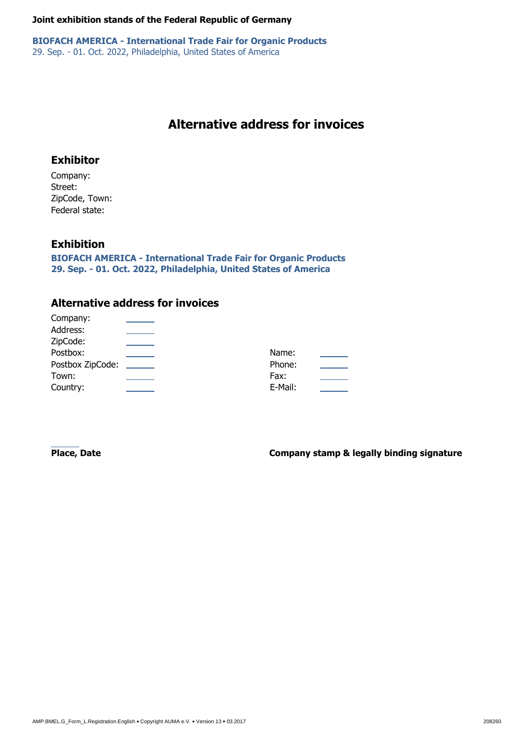**BIOFACH AMERICA - International Trade Fair for Organic Products** 29. Sep. - 01. Oct. 2022, Philadelphia, United States of America

# **Alternative address for invoices**

# **Exhibitor**

Company: Street: ZipCode, Town: Federal state:

# **Exhibition**

 $\sim$ 

**BIOFACH AMERICA - International Trade Fair for Organic Products 29. Sep. - 01. Oct. 2022, Philadelphia, United States of America**

# **Alternative address for invoices**

<span id="page-3-10"></span><span id="page-3-9"></span><span id="page-3-8"></span><span id="page-3-7"></span><span id="page-3-6"></span><span id="page-3-5"></span><span id="page-3-4"></span><span id="page-3-3"></span><span id="page-3-2"></span><span id="page-3-1"></span><span id="page-3-0"></span>

| Company:         |         |  |
|------------------|---------|--|
| Address:         |         |  |
| ZipCode:         |         |  |
| Postbox:         | Name:   |  |
| Postbox ZipCode: | Phone:  |  |
| Town:            | Fax:    |  |
| Country:         | E-Mail: |  |
|                  |         |  |

**Place, Date Company stamp & legally binding signature**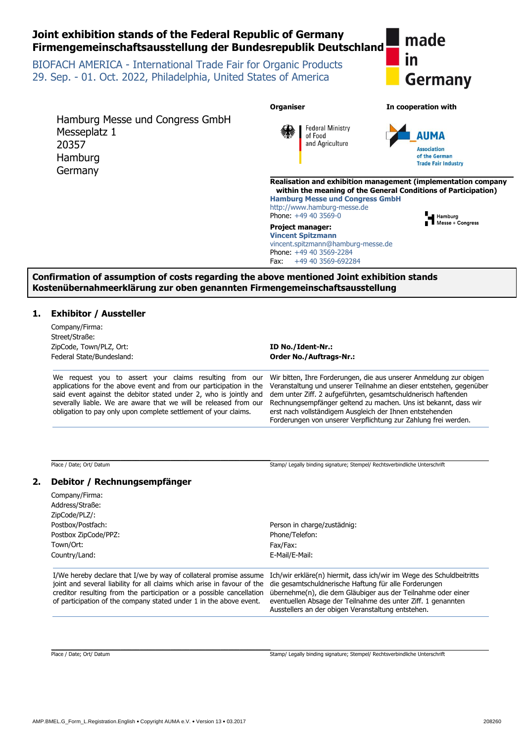

| Company/Firma:<br>Address/Straße:                                                                                                     |                                                                                                                                        |
|---------------------------------------------------------------------------------------------------------------------------------------|----------------------------------------------------------------------------------------------------------------------------------------|
| ZipCode/PLZ/:                                                                                                                         |                                                                                                                                        |
| Postbox/Postfach:                                                                                                                     | Person in charge/zustädnig:                                                                                                            |
| Postbox ZipCode/PPZ:                                                                                                                  | Phone/Telefon:                                                                                                                         |
| Town/Ort:                                                                                                                             | Fax/Fax:                                                                                                                               |
| Country/Land:                                                                                                                         | E-Mail/E-Mail:                                                                                                                         |
|                                                                                                                                       |                                                                                                                                        |
| total and account BaleBir Comell alaters calcula active to Correct aCultor alternational department in Comelli March 112 Foodmann and | I/We hereby declare that I/we by way of collateral promise assume Ich/wir erkläre(n) hiermit, dass ich/wir im Wege des Schuldbeitritts |

joint and several liability for all claims which arise in favour of the die gesamtschuldnerische Haftung für alle Forderungen creditor resulting from the participation or a possible cancellation of participation of the company stated under 1 in the above event.

übernehme(n), die dem Gläubiger aus der Teilnahme oder einer eventuellen Absage der Teilnahme des unter Ziff. 1 genannten Ausstellers an der obigen Veranstaltung entstehen.

\_\_\_\_\_\_\_\_\_\_\_\_\_\_\_\_\_\_\_\_\_\_\_\_\_\_\_\_\_\_\_\_\_\_\_\_\_\_\_\_\_\_\_\_\_\_\_\_\_\_\_\_\_\_\_\_\_

Place / Date; Ort/ Datum Stamp/ Legally binding signature; Stempel/ Rechtsverbindliche Unterschrift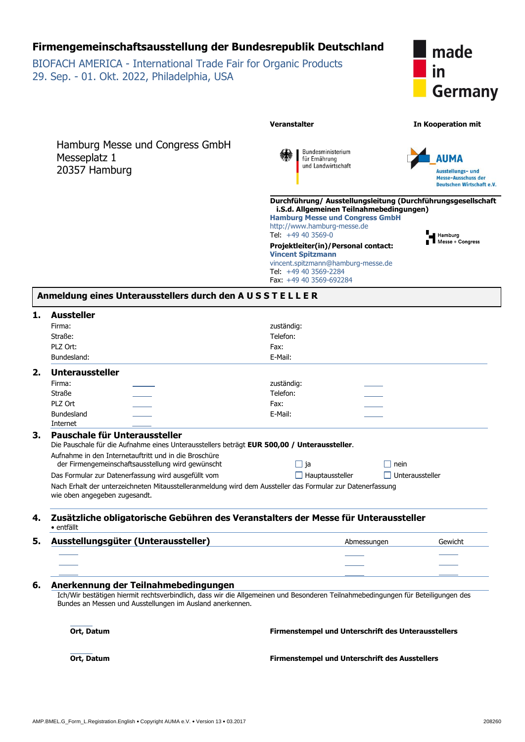# **Firmengemeinschaftsausstellung der Bundesrepublik Deutschland**

BIOFACH AMERICA - International Trade Fair for Organic Products 29. Sep. - 01. Okt. 2022, Philadelphia, USA



Hamburg Messe und Congress GmbH Messeplatz 1 20357 Hamburg





Hamburg<br>Nesse + Congress

**Durchführung/ Ausstellungsleitung (Durchführungsgesellschaft i.S.d. Allgemeinen Teilnahmebedingungen)**

**Veranstalter In Kooperation mit**

**Hamburg Messe und Congress GmbH** http://www.hamburg-messe.de Tel: +49 40 3569-0

**Projektleiter(in)/Personal contact: Vincent Spitzmann** vincent.spitzmann@hamburg-messe.de Tel: +49 40 3569-2284 Fax: +49 40 3569-692284

| Anmeldung eines Unterausstellers durch den AUSSTELLER |  |  |  |  |
|-------------------------------------------------------|--|--|--|--|
|-------------------------------------------------------|--|--|--|--|

| <b>Aussteller</b>             |                                                                                             |                                                                                                                                  |                        |  |  |  |
|-------------------------------|---------------------------------------------------------------------------------------------|----------------------------------------------------------------------------------------------------------------------------------|------------------------|--|--|--|
| Firma:                        |                                                                                             | zuständig:                                                                                                                       |                        |  |  |  |
| Straße:                       |                                                                                             | Telefon:                                                                                                                         |                        |  |  |  |
| PLZ Ort:                      |                                                                                             | Fax:                                                                                                                             |                        |  |  |  |
| Bundesland:                   |                                                                                             | E-Mail:                                                                                                                          |                        |  |  |  |
| 2.<br><b>Unteraussteller</b>  |                                                                                             |                                                                                                                                  |                        |  |  |  |
| Firma:                        |                                                                                             | zuständig:                                                                                                                       |                        |  |  |  |
| <b>Straße</b>                 |                                                                                             | Telefon:                                                                                                                         |                        |  |  |  |
| PLZ Ort                       |                                                                                             | Fax:                                                                                                                             |                        |  |  |  |
| Bundesland                    |                                                                                             | E-Mail:                                                                                                                          |                        |  |  |  |
| Internet                      |                                                                                             |                                                                                                                                  |                        |  |  |  |
| 3.                            | Pauschale für Unteraussteller                                                               |                                                                                                                                  |                        |  |  |  |
|                               | Die Pauschale für die Aufnahme eines Unterausstellers beträgt EUR 500,00 / Unteraussteller. |                                                                                                                                  |                        |  |  |  |
|                               | Aufnahme in den Internetauftritt und in die Broschüre                                       |                                                                                                                                  |                        |  |  |  |
|                               | der Firmengemeinschaftsausstellung wird gewünscht                                           | $\Box$ ja<br>nein                                                                                                                |                        |  |  |  |
|                               | Das Formular zur Datenerfassung wird ausgefüllt vom                                         | $\Box$ Hauptaussteller                                                                                                           | $\Box$ Unteraussteller |  |  |  |
| wie oben angegeben zugesandt. |                                                                                             | Nach Erhalt der unterzeichneten Mitausstelleranmeldung wird dem Aussteller das Formular zur Datenerfassung                       |                        |  |  |  |
| 4.<br>· entfällt              |                                                                                             | Zusätzliche obligatorische Gebühren des Veranstalters der Messe für Unteraussteller                                              |                        |  |  |  |
| 5.                            | Ausstellungsgüter (Unteraussteller)                                                         | Abmessungen                                                                                                                      | Gewicht                |  |  |  |
|                               |                                                                                             |                                                                                                                                  |                        |  |  |  |
|                               |                                                                                             |                                                                                                                                  |                        |  |  |  |
|                               |                                                                                             |                                                                                                                                  |                        |  |  |  |
| 6.                            | Anerkennung der Teilnahmebedingungen                                                        |                                                                                                                                  |                        |  |  |  |
|                               | Bundes an Messen und Ausstellungen im Ausland anerkennen.                                   | Ich/Wir bestätigen hiermit rechtsverbindlich, dass wir die Allgemeinen und Besonderen Teilnahmebedingungen für Beteiligungen des |                        |  |  |  |
| Ort, Datum                    |                                                                                             | Firmenstempel und Unterschrift des Unterausstellers                                                                              |                        |  |  |  |
| Ort, Datum                    |                                                                                             | <b>Firmenstempel und Unterschrift des Ausstellers</b>                                                                            |                        |  |  |  |